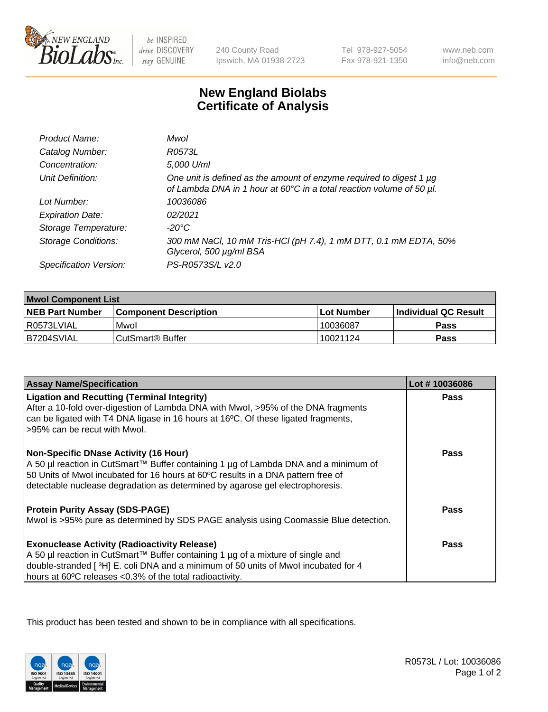

 $be$  INSPIRED drive DISCOVERY stay GENUINE

240 County Road Ipswich, MA 01938-2723 Tel 978-927-5054 Fax 978-921-1350

www.neb.com info@neb.com

## **New England Biolabs Certificate of Analysis**

| Product Name:              | Mwol                                                                                                                                             |
|----------------------------|--------------------------------------------------------------------------------------------------------------------------------------------------|
| Catalog Number:            | R0573L                                                                                                                                           |
| Concentration:             | 5,000 U/ml                                                                                                                                       |
| Unit Definition:           | One unit is defined as the amount of enzyme required to digest 1 $\mu$ g<br>of Lambda DNA in 1 hour at 60°C in a total reaction volume of 50 µl. |
| Lot Number:                | 10036086                                                                                                                                         |
| <b>Expiration Date:</b>    | 02/2021                                                                                                                                          |
| Storage Temperature:       | -20°C                                                                                                                                            |
| <b>Storage Conditions:</b> | 300 mM NaCl, 10 mM Tris-HCl (pH 7.4), 1 mM DTT, 0.1 mM EDTA, 50%<br>Glycerol, 500 µg/ml BSA                                                      |
| Specification Version:     | PS-R0573S/L v2.0                                                                                                                                 |

| <b>Mwol Component List</b> |                         |              |                             |  |
|----------------------------|-------------------------|--------------|-----------------------------|--|
| <b>NEB Part Number</b>     | l Component Description | l Lot Number | <b>Individual QC Result</b> |  |
| I R0573LVIAL               | Mwol                    | 10036087     | Pass                        |  |
| IB7204SVIAL                | l CutSmart® Buffer      | 10021124     | Pass                        |  |

| <b>Assay Name/Specification</b>                                                                                                                                         | Lot #10036086 |
|-------------------------------------------------------------------------------------------------------------------------------------------------------------------------|---------------|
| <b>Ligation and Recutting (Terminal Integrity)</b>                                                                                                                      | <b>Pass</b>   |
| After a 10-fold over-digestion of Lambda DNA with Mwol, >95% of the DNA fragments                                                                                       |               |
| can be ligated with T4 DNA ligase in 16 hours at 16°C. Of these ligated fragments,                                                                                      |               |
| >95% can be recut with Mwol.                                                                                                                                            |               |
|                                                                                                                                                                         |               |
| <b>Non-Specific DNase Activity (16 Hour)</b>                                                                                                                            | <b>Pass</b>   |
| A 50 µl reaction in CutSmart™ Buffer containing 1 µg of Lambda DNA and a minimum of<br>50 Units of Mwol incubated for 16 hours at 60°C results in a DNA pattern free of |               |
| detectable nuclease degradation as determined by agarose gel electrophoresis.                                                                                           |               |
|                                                                                                                                                                         |               |
| <b>Protein Purity Assay (SDS-PAGE)</b>                                                                                                                                  | Pass          |
| Mwol is >95% pure as determined by SDS PAGE analysis using Coomassie Blue detection.                                                                                    |               |
| <b>Exonuclease Activity (Radioactivity Release)</b>                                                                                                                     | Pass          |
| A 50 µl reaction in CutSmart™ Buffer containing 1 µg of a mixture of single and                                                                                         |               |
| double-stranded [ $3H$ ] E. coli DNA and a minimum of 50 units of Mwol incubated for 4                                                                                  |               |
| hours at 60°C releases <0.3% of the total radioactivity.                                                                                                                |               |

This product has been tested and shown to be in compliance with all specifications.